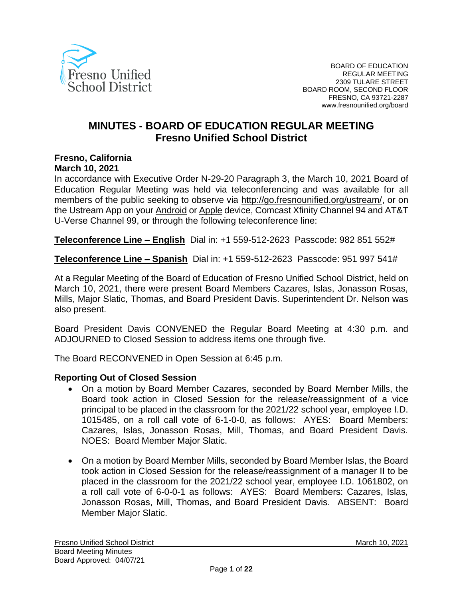

# **MINUTES - BOARD OF EDUCATION REGULAR MEETING Fresno Unified School District**

# **Fresno, California**

#### **March 10, 2021**

In accordance with Executive Order N-29-20 Paragraph 3, the March 10, 2021 Board of Education Regular Meeting was held via teleconferencing and was available for all members of the public seeking to observe via [http://go.fresnounified.org/ustream/,](http://go.fresnounified.org/ustream/) or on the Ustream App on your [Android](https://play.google.com/store/apps/details?id=tv.ustream.ustream&hl=en_US) or [Apple](https://itunes.apple.com/us/app/ustream/id301520250?mt=8) device, Comcast Xfinity Channel 94 and AT&T U-Verse Channel 99, or through the following teleconference line:

**Teleconference Line – English** Dial in: +1 559-512-2623 Passcode: 982 851 552#

**Teleconference Line – Spanish** Dial in: +1 559-512-2623 Passcode: 951 997 541#

At a Regular Meeting of the Board of Education of Fresno Unified School District, held on March 10, 2021, there were present Board Members Cazares, Islas, Jonasson Rosas, Mills, Major Slatic, Thomas, and Board President Davis. Superintendent Dr. Nelson was also present.

Board President Davis CONVENED the Regular Board Meeting at 4:30 p.m. and ADJOURNED to Closed Session to address items one through five.

The Board RECONVENED in Open Session at 6:45 p.m.

#### **Reporting Out of Closed Session**

- On a motion by Board Member Cazares, seconded by Board Member Mills, the Board took action in Closed Session for the release/reassignment of a vice principal to be placed in the classroom for the 2021/22 school year, employee I.D. 1015485, on a roll call vote of 6-1-0-0, as follows: AYES: Board Members: Cazares, Islas, Jonasson Rosas, Mill, Thomas, and Board President Davis. NOES: Board Member Major Slatic.
- On a motion by Board Member Mills, seconded by Board Member Islas, the Board took action in Closed Session for the release/reassignment of a manager II to be placed in the classroom for the 2021/22 school year, employee I.D. 1061802, on a roll call vote of 6-0-0-1 as follows: AYES: Board Members: Cazares, Islas, Jonasson Rosas, Mill, Thomas, and Board President Davis. ABSENT: Board Member Major Slatic.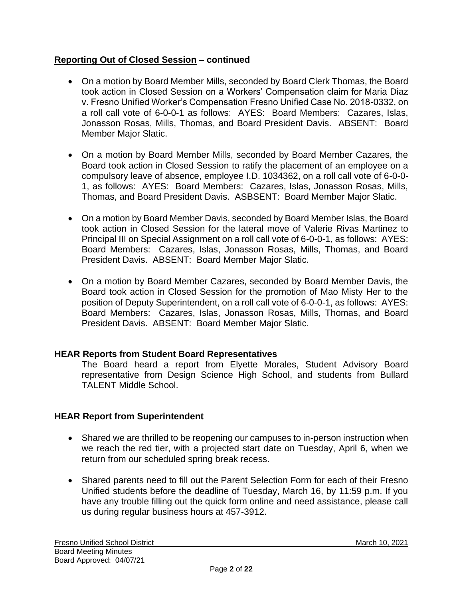# **Reporting Out of Closed Session – continued**

- On a motion by Board Member Mills, seconded by Board Clerk Thomas, the Board took action in Closed Session on a Workers' Compensation claim for Maria Diaz v. Fresno Unified Worker's Compensation Fresno Unified Case No. 2018-0332, on a roll call vote of 6-0-0-1 as follows: AYES: Board Members: Cazares, Islas, Jonasson Rosas, Mills, Thomas, and Board President Davis. ABSENT: Board Member Major Slatic.
- On a motion by Board Member Mills, seconded by Board Member Cazares, the Board took action in Closed Session to ratify the placement of an employee on a compulsory leave of absence, employee I.D. 1034362, on a roll call vote of 6-0-0- 1, as follows: AYES: Board Members: Cazares, Islas, Jonasson Rosas, Mills, Thomas, and Board President Davis. ASBSENT: Board Member Major Slatic.
- On a motion by Board Member Davis, seconded by Board Member Islas, the Board took action in Closed Session for the lateral move of Valerie Rivas Martinez to Principal III on Special Assignment on a roll call vote of 6-0-0-1, as follows: AYES: Board Members: Cazares, Islas, Jonasson Rosas, Mills, Thomas, and Board President Davis. ABSENT: Board Member Major Slatic.
- On a motion by Board Member Cazares, seconded by Board Member Davis, the Board took action in Closed Session for the promotion of Mao Misty Her to the position of Deputy Superintendent, on a roll call vote of 6-0-0-1, as follows: AYES: Board Members: Cazares, Islas, Jonasson Rosas, Mills, Thomas, and Board President Davis. ABSENT: Board Member Major Slatic.

# **HEAR Reports from Student Board Representatives**

The Board heard a report from Elyette Morales, Student Advisory Board representative from Design Science High School, and students from Bullard TALENT Middle School.

# **HEAR Report from Superintendent**

- Shared we are thrilled to be reopening our campuses to in-person instruction when we reach the red tier, with a projected start date on Tuesday, April 6, when we return from our scheduled spring break recess.
- Shared parents need to fill out the Parent Selection Form for each of their Fresno Unified students before the deadline of Tuesday, March 16, by 11:59 p.m. If you have any trouble filling out the quick form online and need assistance, please call us during regular business hours at 457-3912.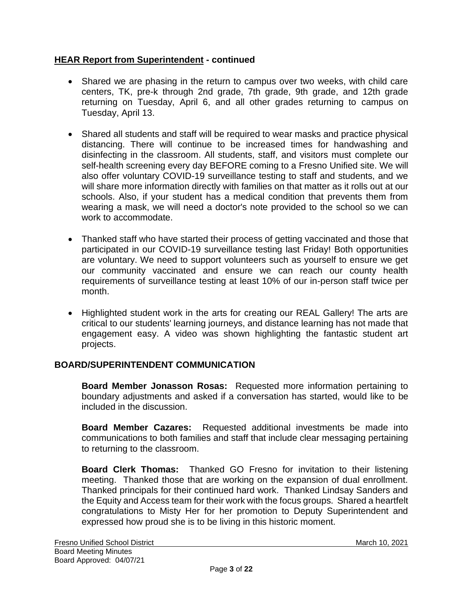# **HEAR Report from Superintendent - continued**

- Shared we are phasing in the return to campus over two weeks, with child care centers, TK, pre-k through 2nd grade, 7th grade, 9th grade, and 12th grade returning on Tuesday, April 6, and all other grades returning to campus on Tuesday, April 13.
- Shared all students and staff will be required to wear masks and practice physical distancing. There will continue to be increased times for handwashing and disinfecting in the classroom. All students, staff, and visitors must complete our self-health screening every day BEFORE coming to a Fresno Unified site. We will also offer voluntary COVID-19 surveillance testing to staff and students, and we will share more information directly with families on that matter as it rolls out at our schools. Also, if your student has a medical condition that prevents them from wearing a mask, we will need a doctor's note provided to the school so we can work to accommodate.
- Thanked staff who have started their process of getting vaccinated and those that participated in our COVID-19 surveillance testing last Friday! Both opportunities are voluntary. We need to support volunteers such as yourself to ensure we get our community vaccinated and ensure we can reach our county health requirements of surveillance testing at least 10% of our in-person staff twice per month.
- Highlighted student work in the arts for creating our REAL Gallery! The arts are critical to our students' learning journeys, and distance learning has not made that engagement easy. A video was shown highlighting the fantastic student art projects.

# **BOARD/SUPERINTENDENT COMMUNICATION**

**Board Member Jonasson Rosas:** Requested more information pertaining to boundary adjustments and asked if a conversation has started, would like to be included in the discussion.

**Board Member Cazares:** Requested additional investments be made into communications to both families and staff that include clear messaging pertaining to returning to the classroom.

**Board Clerk Thomas:** Thanked GO Fresno for invitation to their listening meeting. Thanked those that are working on the expansion of dual enrollment. Thanked principals for their continued hard work. Thanked Lindsay Sanders and the Equity and Access team for their work with the focus groups. Shared a heartfelt congratulations to Misty Her for her promotion to Deputy Superintendent and expressed how proud she is to be living in this historic moment.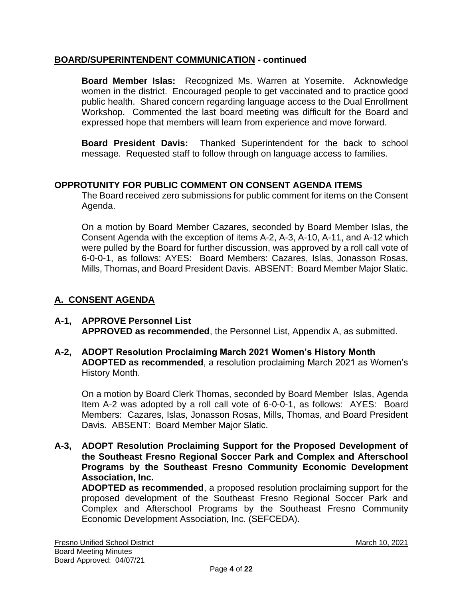# **BOARD/SUPERINTENDENT COMMUNICATION - continued**

**Board Member Islas:** Recognized Ms. Warren at Yosemite. Acknowledge women in the district. Encouraged people to get vaccinated and to practice good public health. Shared concern regarding language access to the Dual Enrollment Workshop. Commented the last board meeting was difficult for the Board and expressed hope that members will learn from experience and move forward.

**Board President Davis:** Thanked Superintendent for the back to school message. Requested staff to follow through on language access to families.

# **OPPROTUNITY FOR PUBLIC COMMENT ON CONSENT AGENDA ITEMS**

The Board received zero submissions for public comment for items on the Consent Agenda.

On a motion by Board Member Cazares, seconded by Board Member Islas, the Consent Agenda with the exception of items A-2, A-3, A-10, A-11, and A-12 which were pulled by the Board for further discussion, was approved by a roll call vote of 6-0-0-1, as follows: AYES: Board Members: Cazares, Islas, Jonasson Rosas, Mills, Thomas, and Board President Davis. ABSENT: Board Member Major Slatic.

# **A. CONSENT AGENDA**

- **A-1, APPROVE Personnel List APPROVED as recommended**, the Personnel List, Appendix A, as submitted.
- **A-2, ADOPT Resolution Proclaiming March 2021 Women's History Month ADOPTED as recommended**, a resolution proclaiming March 2021 as Women's History Month.

On a motion by Board Clerk Thomas, seconded by Board Member Islas, Agenda Item A-2 was adopted by a roll call vote of 6-0-0-1, as follows: AYES: Board Members: Cazares, Islas, Jonasson Rosas, Mills, Thomas, and Board President Davis. ABSENT: Board Member Major Slatic.

**A-3, ADOPT Resolution Proclaiming Support for the Proposed Development of the Southeast Fresno Regional Soccer Park and Complex and Afterschool Programs by the Southeast Fresno Community Economic Development Association, Inc.**

**ADOPTED as recommended**, a proposed resolution proclaiming support for the proposed development of the Southeast Fresno Regional Soccer Park and Complex and Afterschool Programs by the Southeast Fresno Community Economic Development Association, Inc. (SEFCEDA).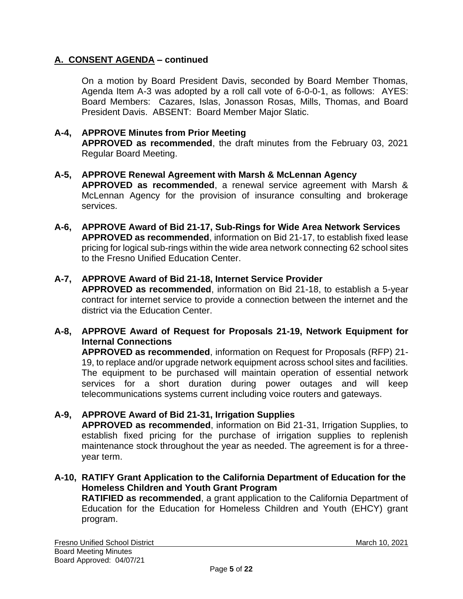# **A. CONSENT AGENDA – continued**

On a motion by Board President Davis, seconded by Board Member Thomas, Agenda Item A-3 was adopted by a roll call vote of 6-0-0-1, as follows: AYES: Board Members: Cazares, Islas, Jonasson Rosas, Mills, Thomas, and Board President Davis. ABSENT: Board Member Major Slatic.

### **A-4, APPROVE Minutes from Prior Meeting**

**APPROVED as recommended**, the draft minutes from the February 03, 2021 Regular Board Meeting.

#### **A-5, APPROVE Renewal Agreement with Marsh & McLennan Agency**

**APPROVED as recommended**, a renewal service agreement with Marsh & McLennan Agency for the provision of insurance consulting and brokerage services.

**A-6, APPROVE Award of Bid 21-17, Sub-Rings for Wide Area Network Services APPROVED as recommended**, information on Bid 21-17, to establish fixed lease pricing for logical sub-rings within the wide area network connecting 62 school sites to the Fresno Unified Education Center.

#### **A-7, APPROVE Award of Bid 21-18, Internet Service Provider**

**APPROVED as recommended**, information on Bid 21-18, to establish a 5-year contract for internet service to provide a connection between the internet and the district via the Education Center.

#### **A-8, APPROVE Award of Request for Proposals 21-19, Network Equipment for Internal Connections**

**APPROVED as recommended**, information on Request for Proposals (RFP) 21- 19, to replace and/or upgrade network equipment across school sites and facilities. The equipment to be purchased will maintain operation of essential network services for a short duration during power outages and will keep telecommunications systems current including voice routers and gateways.

#### **A-9, APPROVE Award of Bid 21-31, Irrigation Supplies**

**APPROVED as recommended**, information on Bid 21-31, Irrigation Supplies, to establish fixed pricing for the purchase of irrigation supplies to replenish maintenance stock throughout the year as needed. The agreement is for a threeyear term.

### **A-10, RATIFY Grant Application to the California Department of Education for the Homeless Children and Youth Grant Program**

**RATIFIED as recommended**, a grant application to the California Department of Education for the Education for Homeless Children and Youth (EHCY) grant program.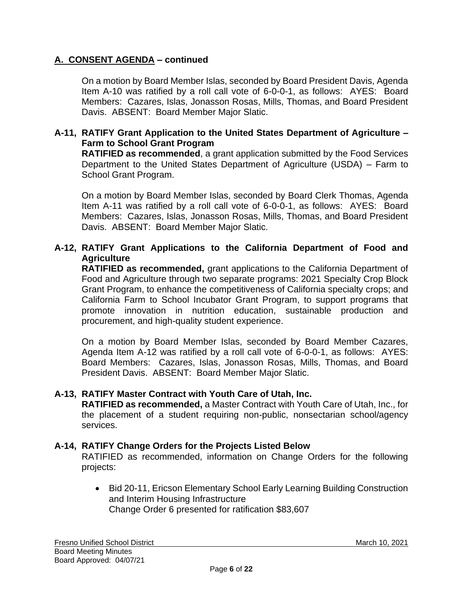# **A. CONSENT AGENDA – continued**

On a motion by Board Member Islas, seconded by Board President Davis, Agenda Item A-10 was ratified by a roll call vote of 6-0-0-1, as follows: AYES: Board Members: Cazares, Islas, Jonasson Rosas, Mills, Thomas, and Board President Davis. ABSENT: Board Member Major Slatic.

### **A-11, RATIFY Grant Application to the United States Department of Agriculture – Farm to School Grant Program**

**RATIFIED as recommended**, a grant application submitted by the Food Services Department to the United States Department of Agriculture (USDA) – Farm to School Grant Program.

On a motion by Board Member Islas, seconded by Board Clerk Thomas, Agenda Item A-11 was ratified by a roll call vote of 6-0-0-1, as follows: AYES: Board Members: Cazares, Islas, Jonasson Rosas, Mills, Thomas, and Board President Davis. ABSENT: Board Member Major Slatic.

# **A-12, RATIFY Grant Applications to the California Department of Food and Agriculture**

**RATIFIED as recommended,** grant applications to the California Department of Food and Agriculture through two separate programs: 2021 Specialty Crop Block Grant Program, to enhance the competitiveness of California specialty crops; and California Farm to School Incubator Grant Program, to support programs that promote innovation in nutrition education, sustainable production and procurement, and high-quality student experience.

On a motion by Board Member Islas, seconded by Board Member Cazares, Agenda Item A-12 was ratified by a roll call vote of 6-0-0-1, as follows: AYES: Board Members: Cazares, Islas, Jonasson Rosas, Mills, Thomas, and Board President Davis. ABSENT: Board Member Major Slatic.

#### **A-13, RATIFY Master Contract with Youth Care of Utah, Inc.**

**RATIFIED as recommended,** a Master Contract with Youth Care of Utah, Inc., for the placement of a student requiring non-public, nonsectarian school/agency services.

#### **A-14, RATIFY Change Orders for the Projects Listed Below**

RATIFIED as recommended, information on Change Orders for the following projects:

• Bid 20-11, Ericson Elementary School Early Learning Building Construction and Interim Housing Infrastructure Change Order 6 presented for ratification \$83,607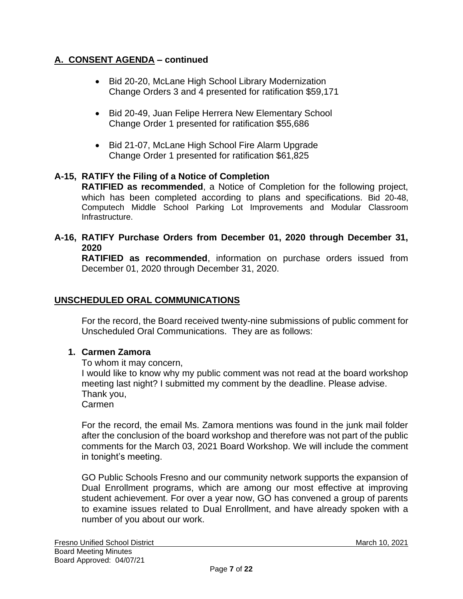# **A. CONSENT AGENDA – continued**

- Bid 20-20, McLane High School Library Modernization Change Orders 3 and 4 presented for ratification \$59,171
- Bid 20-49, Juan Felipe Herrera New Elementary School Change Order 1 presented for ratification \$55,686
- Bid 21-07, McLane High School Fire Alarm Upgrade Change Order 1 presented for ratification \$61,825

# **A-15, RATIFY the Filing of a Notice of Completion**

**RATIFIED as recommended**, a Notice of Completion for the following project, which has been completed according to plans and specifications. Bid 20-48, Computech Middle School Parking Lot Improvements and Modular Classroom Infrastructure.

### **A-16, RATIFY Purchase Orders from December 01, 2020 through December 31, 2020**

**RATIFIED as recommended**, information on purchase orders issued from December 01, 2020 through December 31, 2020.

# **UNSCHEDULED ORAL COMMUNICATIONS**

For the record, the Board received twenty-nine submissions of public comment for Unscheduled Oral Communications. They are as follows:

# **1. Carmen Zamora**

To whom it may concern,

I would like to know why my public comment was not read at the board workshop meeting last night? I submitted my comment by the deadline. Please advise. Thank you,

Carmen

For the record, the email Ms. Zamora mentions was found in the junk mail folder after the conclusion of the board workshop and therefore was not part of the public comments for the March 03, 2021 Board Workshop. We will include the comment in tonight's meeting.

GO Public Schools Fresno and our community network supports the expansion of Dual Enrollment programs, which are among our most effective at improving student achievement. For over a year now, GO has convened a group of parents to examine issues related to Dual Enrollment, and have already spoken with a number of you about our work.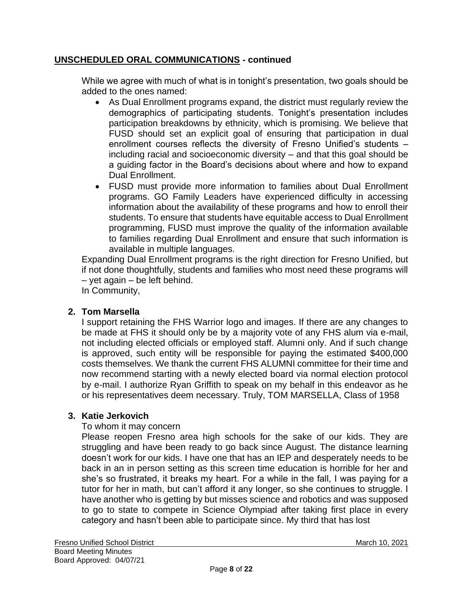While we agree with much of what is in tonight's presentation, two goals should be added to the ones named:

- As Dual Enrollment programs expand, the district must regularly review the demographics of participating students. Tonight's presentation includes participation breakdowns by ethnicity, which is promising. We believe that FUSD should set an explicit goal of ensuring that participation in dual enrollment courses reflects the diversity of Fresno Unified's students – including racial and socioeconomic diversity – and that this goal should be a guiding factor in the Board's decisions about where and how to expand Dual Enrollment.
- FUSD must provide more information to families about Dual Enrollment programs. GO Family Leaders have experienced difficulty in accessing information about the availability of these programs and how to enroll their students. To ensure that students have equitable access to Dual Enrollment programming, FUSD must improve the quality of the information available to families regarding Dual Enrollment and ensure that such information is available in multiple languages.

Expanding Dual Enrollment programs is the right direction for Fresno Unified, but if not done thoughtfully, students and families who most need these programs will – yet again – be left behind.

In Community,

# **2. Tom Marsella**

I support retaining the FHS Warrior logo and images. If there are any changes to be made at FHS it should only be by a majority vote of any FHS alum via e-mail, not including elected officials or employed staff. Alumni only. And if such change is approved, such entity will be responsible for paying the estimated \$400,000 costs themselves. We thank the current FHS ALUMNI committee for their time and now recommend starting with a newly elected board via normal election protocol by e-mail. I authorize Ryan Griffith to speak on my behalf in this endeavor as he or his representatives deem necessary. Truly, TOM MARSELLA, Class of 1958

# **3. Katie Jerkovich**

# To whom it may concern

Please reopen Fresno area high schools for the sake of our kids. They are struggling and have been ready to go back since August. The distance learning doesn't work for our kids. I have one that has an IEP and desperately needs to be back in an in person setting as this screen time education is horrible for her and she's so frustrated, it breaks my heart. For a while in the fall, I was paying for a tutor for her in math, but can't afford it any longer, so she continues to struggle. I have another who is getting by but misses science and robotics and was supposed to go to state to compete in Science Olympiad after taking first place in every category and hasn't been able to participate since. My third that has lost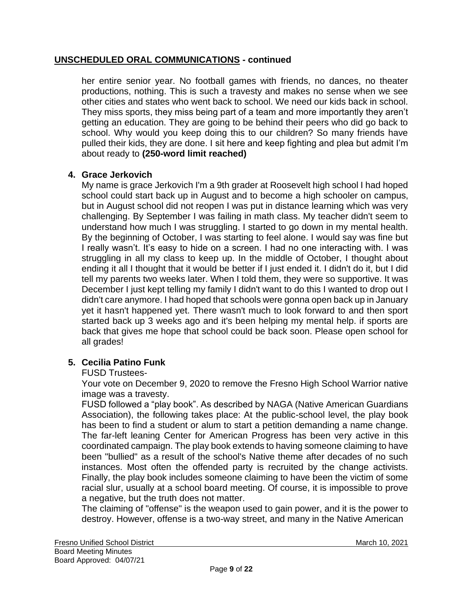her entire senior year. No football games with friends, no dances, no theater productions, nothing. This is such a travesty and makes no sense when we see other cities and states who went back to school. We need our kids back in school. They miss sports, they miss being part of a team and more importantly they aren't getting an education. They are going to be behind their peers who did go back to school. Why would you keep doing this to our children? So many friends have pulled their kids, they are done. I sit here and keep fighting and plea but admit I'm about ready to **(250-word limit reached)**

# **4. Grace Jerkovich**

My name is grace Jerkovich I'm a 9th grader at Roosevelt high school I had hoped school could start back up in August and to become a high schooler on campus, but in August school did not reopen I was put in distance learning which was very challenging. By September I was failing in math class. My teacher didn't seem to understand how much I was struggling. I started to go down in my mental health. By the beginning of October, I was starting to feel alone. I would say was fine but I really wasn't. It's easy to hide on a screen. I had no one interacting with. I was struggling in all my class to keep up. In the middle of October, I thought about ending it all I thought that it would be better if I just ended it. I didn't do it, but I did tell my parents two weeks later. When I told them, they were so supportive. It was December I just kept telling my family I didn't want to do this I wanted to drop out I didn't care anymore. I had hoped that schools were gonna open back up in January yet it hasn't happened yet. There wasn't much to look forward to and then sport started back up 3 weeks ago and it's been helping my mental help. if sports are back that gives me hope that school could be back soon. Please open school for all grades!

# **5. Cecilia Patino Funk**

# FUSD Trustees-

Your vote on December 9, 2020 to remove the Fresno High School Warrior native image was a travesty.

FUSD followed a "play book". As described by NAGA (Native American Guardians Association), the following takes place: At the public-school level, the play book has been to find a student or alum to start a petition demanding a name change. The far-left leaning Center for American Progress has been very active in this coordinated campaign. The play book extends to having someone claiming to have been "bullied" as a result of the school's Native theme after decades of no such instances. Most often the offended party is recruited by the change activists. Finally, the play book includes someone claiming to have been the victim of some racial slur, usually at a school board meeting. Of course, it is impossible to prove a negative, but the truth does not matter.

The claiming of "offense" is the weapon used to gain power, and it is the power to destroy. However, offense is a two-way street, and many in the Native American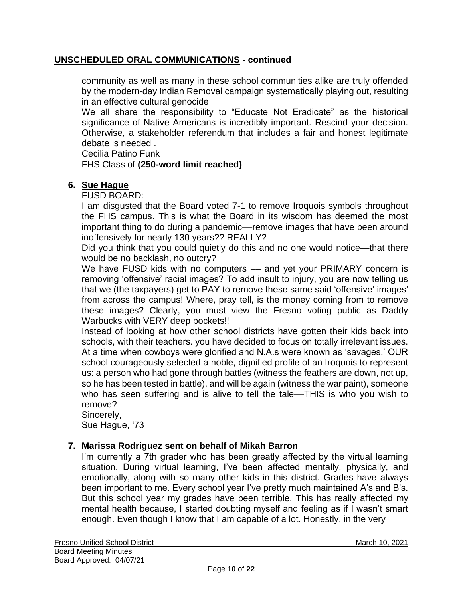community as well as many in these school communities alike are truly offended by the modern-day Indian Removal campaign systematically playing out, resulting in an effective cultural genocide

We all share the responsibility to "Educate Not Eradicate" as the historical significance of Native Americans is incredibly important. Rescind your decision. Otherwise, a stakeholder referendum that includes a fair and honest legitimate debate is needed .

Cecilia Patino Funk

FHS Class of **(250-word limit reached)**

#### **6. Sue Hague**

FUSD BOARD:

I am disgusted that the Board voted 7-1 to remove Iroquois symbols throughout the FHS campus. This is what the Board in its wisdom has deemed the most important thing to do during a pandemic––remove images that have been around inoffensively for nearly 130 years?? REALLY?

Did you think that you could quietly do this and no one would notice—that there would be no backlash, no outcry?

We have FUSD kids with no computers — and yet your PRIMARY concern is removing 'offensive' racial images? To add insult to injury, you are now telling us that we (the taxpayers) get to PAY to remove these same said 'offensive' images' from across the campus! Where, pray tell, is the money coming from to remove these images? Clearly, you must view the Fresno voting public as Daddy Warbucks with VERY deep pockets!!

Instead of looking at how other school districts have gotten their kids back into schools, with their teachers. you have decided to focus on totally irrelevant issues. At a time when cowboys were glorified and N.A.s were known as 'savages,' OUR school courageously selected a noble, dignified profile of an Iroquois to represent us: a person who had gone through battles (witness the feathers are down, not up, so he has been tested in battle), and will be again (witness the war paint), someone who has seen suffering and is alive to tell the tale—THIS is who you wish to remove?

Sincerely, Sue Hague, '73

#### **7. Marissa Rodriguez sent on behalf of Mikah Barron**

I'm currently a 7th grader who has been greatly affected by the virtual learning situation. During virtual learning, I've been affected mentally, physically, and emotionally, along with so many other kids in this district. Grades have always been important to me. Every school year I've pretty much maintained A's and B's. But this school year my grades have been terrible. This has really affected my mental health because, I started doubting myself and feeling as if I wasn't smart enough. Even though I know that I am capable of a lot. Honestly, in the very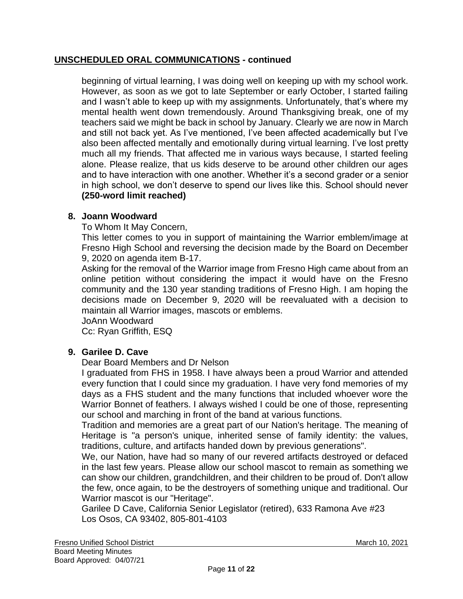beginning of virtual learning, I was doing well on keeping up with my school work. However, as soon as we got to late September or early October, I started failing and I wasn't able to keep up with my assignments. Unfortunately, that's where my mental health went down tremendously. Around Thanksgiving break, one of my teachers said we might be back in school by January. Clearly we are now in March and still not back yet. As I've mentioned, I've been affected academically but I've also been affected mentally and emotionally during virtual learning. I've lost pretty much all my friends. That affected me in various ways because, I started feeling alone. Please realize, that us kids deserve to be around other children our ages and to have interaction with one another. Whether it's a second grader or a senior in high school, we don't deserve to spend our lives like this. School should never **(250-word limit reached)**

# **8. Joann Woodward**

To Whom It May Concern,

This letter comes to you in support of maintaining the Warrior emblem/image at Fresno High School and reversing the decision made by the Board on December 9, 2020 on agenda item B-17.

Asking for the removal of the Warrior image from Fresno High came about from an online petition without considering the impact it would have on the Fresno community and the 130 year standing traditions of Fresno High. I am hoping the decisions made on December 9, 2020 will be reevaluated with a decision to maintain all Warrior images, mascots or emblems.

JoAnn Woodward

Cc: Ryan Griffith, ESQ

# **9. Garilee D. Cave**

Dear Board Members and Dr Nelson

I graduated from FHS in 1958. I have always been a proud Warrior and attended every function that I could since my graduation. I have very fond memories of my days as a FHS student and the many functions that included whoever wore the Warrior Bonnet of feathers. I always wished I could be one of those, representing our school and marching in front of the band at various functions.

Tradition and memories are a great part of our Nation's heritage. The meaning of Heritage is "a person's unique, inherited sense of family identity: the values, traditions, culture, and artifacts handed down by previous generations".

We, our Nation, have had so many of our revered artifacts destroyed or defaced in the last few years. Please allow our school mascot to remain as something we can show our children, grandchildren, and their children to be proud of. Don't allow the few, once again, to be the destroyers of something unique and traditional. Our Warrior mascot is our "Heritage".

Garilee D Cave, California Senior Legislator (retired), 633 Ramona Ave #23 Los Osos, CA 93402, 805-801-4103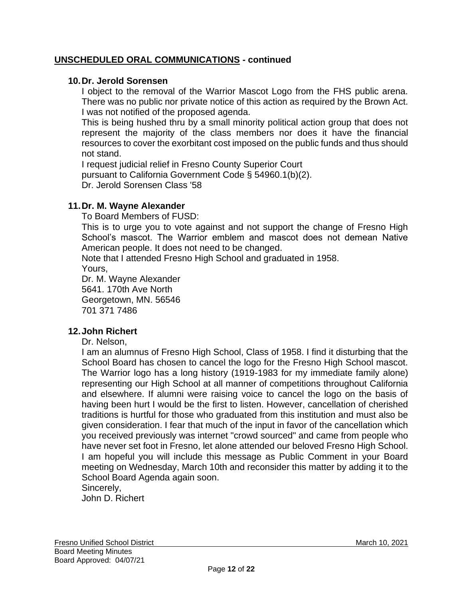### **10.Dr. Jerold Sorensen**

I object to the removal of the Warrior Mascot Logo from the FHS public arena. There was no public nor private notice of this action as required by the Brown Act. I was not notified of the proposed agenda.

This is being hushed thru by a small minority political action group that does not represent the majority of the class members nor does it have the financial resources to cover the exorbitant cost imposed on the public funds and thus should not stand.

I request judicial relief in Fresno County Superior Court pursuant to California Government Code § 54960.1(b)(2). Dr. Jerold Sorensen Class '58

### **11.Dr. M. Wayne Alexander**

To Board Members of FUSD:

This is to urge you to vote against and not support the change of Fresno High School's mascot. The Warrior emblem and mascot does not demean Native American people. It does not need to be changed.

Note that I attended Fresno High School and graduated in 1958. Yours,

Dr. M. Wayne Alexander 5641. 170th Ave North Georgetown, MN. 56546 701 371 7486

#### **12.John Richert**

Dr. Nelson,

I am an alumnus of Fresno High School, Class of 1958. I find it disturbing that the School Board has chosen to cancel the logo for the Fresno High School mascot. The Warrior logo has a long history (1919-1983 for my immediate family alone) representing our High School at all manner of competitions throughout California and elsewhere. If alumni were raising voice to cancel the logo on the basis of having been hurt I would be the first to listen. However, cancellation of cherished traditions is hurtful for those who graduated from this institution and must also be given consideration. I fear that much of the input in favor of the cancellation which you received previously was internet "crowd sourced" and came from people who have never set foot in Fresno, let alone attended our beloved Fresno High School. I am hopeful you will include this message as Public Comment in your Board meeting on Wednesday, March 10th and reconsider this matter by adding it to the School Board Agenda again soon.

Sincerely,

John D. Richert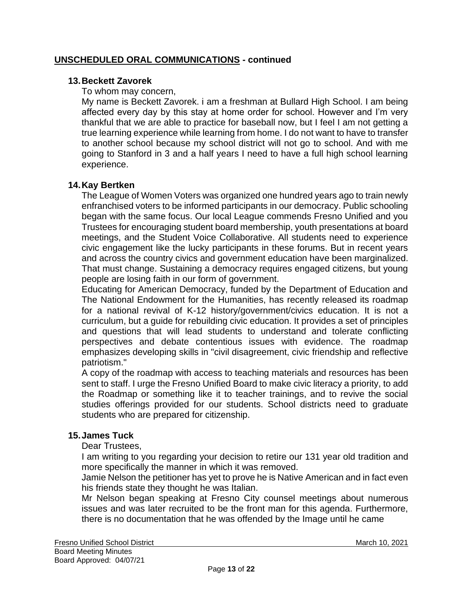### **13.Beckett Zavorek**

To whom may concern,

My name is Beckett Zavorek. i am a freshman at Bullard High School. I am being affected every day by this stay at home order for school. However and I'm very thankful that we are able to practice for baseball now, but I feel I am not getting a true learning experience while learning from home. I do not want to have to transfer to another school because my school district will not go to school. And with me going to Stanford in 3 and a half years I need to have a full high school learning experience.

### **14.Kay Bertken**

The League of Women Voters was organized one hundred years ago to train newly enfranchised voters to be informed participants in our democracy. Public schooling began with the same focus. Our local League commends Fresno Unified and you Trustees for encouraging student board membership, youth presentations at board meetings, and the Student Voice Collaborative. All students need to experience civic engagement like the lucky participants in these forums. But in recent years and across the country civics and government education have been marginalized. That must change. Sustaining a democracy requires engaged citizens, but young people are losing faith in our form of government.

Educating for American Democracy, funded by the Department of Education and The National Endowment for the Humanities, has recently released its roadmap for a national revival of K-12 history/government/civics education. It is not a curriculum, but a guide for rebuilding civic education. It provides a set of principles and questions that will lead students to understand and tolerate conflicting perspectives and debate contentious issues with evidence. The roadmap emphasizes developing skills in "civil disagreement, civic friendship and reflective patriotism."

A copy of the roadmap with access to teaching materials and resources has been sent to staff. I urge the Fresno Unified Board to make civic literacy a priority, to add the Roadmap or something like it to teacher trainings, and to revive the social studies offerings provided for our students. School districts need to graduate students who are prepared for citizenship.

#### **15.James Tuck**

Dear Trustees,

I am writing to you regarding your decision to retire our 131 year old tradition and more specifically the manner in which it was removed.

Jamie Nelson the petitioner has yet to prove he is Native American and in fact even his friends state they thought he was Italian.

Mr Nelson began speaking at Fresno City counsel meetings about numerous issues and was later recruited to be the front man for this agenda. Furthermore, there is no documentation that he was offended by the Image until he came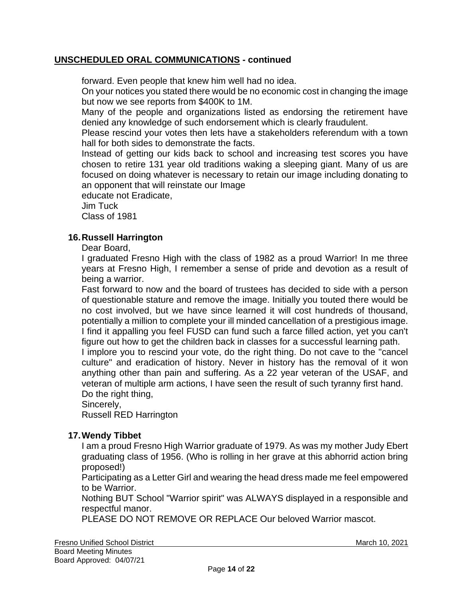forward. Even people that knew him well had no idea.

On your notices you stated there would be no economic cost in changing the image but now we see reports from \$400K to 1M.

Many of the people and organizations listed as endorsing the retirement have denied any knowledge of such endorsement which is clearly fraudulent.

Please rescind your votes then lets have a stakeholders referendum with a town hall for both sides to demonstrate the facts.

Instead of getting our kids back to school and increasing test scores you have chosen to retire 131 year old traditions waking a sleeping giant. Many of us are focused on doing whatever is necessary to retain our image including donating to an opponent that will reinstate our Image

educate not Eradicate,

Jim Tuck Class of 1981

### **16.Russell Harrington**

Dear Board,

I graduated Fresno High with the class of 1982 as a proud Warrior! In me three years at Fresno High, I remember a sense of pride and devotion as a result of being a warrior.

Fast forward to now and the board of trustees has decided to side with a person of questionable stature and remove the image. Initially you touted there would be no cost involved, but we have since learned it will cost hundreds of thousand, potentially a million to complete your ill minded cancellation of a prestigious image. I find it appalling you feel FUSD can fund such a farce filled action, yet you can't figure out how to get the children back in classes for a successful learning path.

I implore you to rescind your vote, do the right thing. Do not cave to the "cancel culture" and eradication of history. Never in history has the removal of it won anything other than pain and suffering. As a 22 year veteran of the USAF, and veteran of multiple arm actions, I have seen the result of such tyranny first hand. Do the right thing,

Sincerely,

Russell RED Harrington

#### **17.Wendy Tibbet**

I am a proud Fresno High Warrior graduate of 1979. As was my mother Judy Ebert graduating class of 1956. (Who is rolling in her grave at this abhorrid action bring proposed!)

Participating as a Letter Girl and wearing the head dress made me feel empowered to be Warrior.

Nothing BUT School "Warrior spirit" was ALWAYS displayed in a responsible and respectful manor.

PLEASE DO NOT REMOVE OR REPLACE Our beloved Warrior mascot.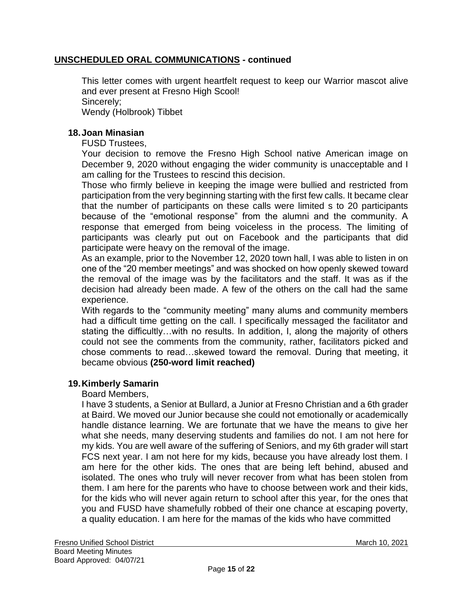This letter comes with urgent heartfelt request to keep our Warrior mascot alive and ever present at Fresno High Scool! Sincerely; Wendy (Holbrook) Tibbet

### **18.Joan Minasian**

FUSD Trustees,

Your decision to remove the Fresno High School native American image on December 9, 2020 without engaging the wider community is unacceptable and I am calling for the Trustees to rescind this decision.

Those who firmly believe in keeping the image were bullied and restricted from participation from the very beginning starting with the first few calls. It became clear that the number of participants on these calls were limited s to 20 participants because of the "emotional response" from the alumni and the community. A response that emerged from being voiceless in the process. The limiting of participants was clearly put out on Facebook and the participants that did participate were heavy on the removal of the image.

As an example, prior to the November 12, 2020 town hall, I was able to listen in on one of the "20 member meetings" and was shocked on how openly skewed toward the removal of the image was by the facilitators and the staff. It was as if the decision had already been made. A few of the others on the call had the same experience.

With regards to the "community meeting" many alums and community members had a difficult time getting on the call. I specifically messaged the facilitator and stating the difficultly…with no results. In addition, I, along the majority of others could not see the comments from the community, rather, facilitators picked and chose comments to read…skewed toward the removal. During that meeting, it became obvious **(250-word limit reached)**

# **19.Kimberly Samarin**

Board Members,

I have 3 students, a Senior at Bullard, a Junior at Fresno Christian and a 6th grader at Baird. We moved our Junior because she could not emotionally or academically handle distance learning. We are fortunate that we have the means to give her what she needs, many deserving students and families do not. I am not here for my kids. You are well aware of the suffering of Seniors, and my 6th grader will start FCS next year. I am not here for my kids, because you have already lost them. I am here for the other kids. The ones that are being left behind, abused and isolated. The ones who truly will never recover from what has been stolen from them. I am here for the parents who have to choose between work and their kids, for the kids who will never again return to school after this year, for the ones that you and FUSD have shamefully robbed of their one chance at escaping poverty, a quality education. I am here for the mamas of the kids who have committed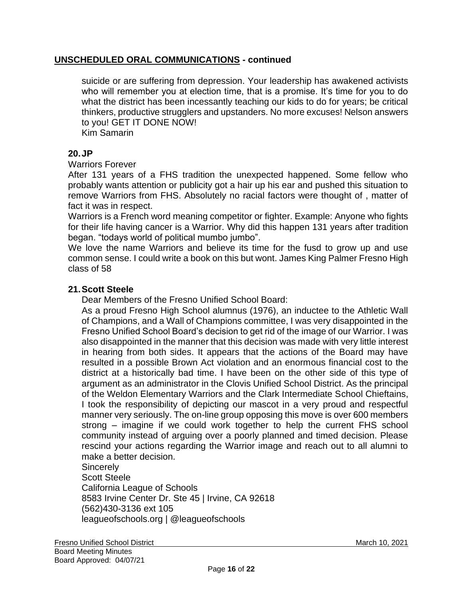suicide or are suffering from depression. Your leadership has awakened activists who will remember you at election time, that is a promise. It's time for you to do what the district has been incessantly teaching our kids to do for years; be critical thinkers, productive strugglers and upstanders. No more excuses! Nelson answers to you! GET IT DONE NOW!

Kim Samarin

## **20.JP**

#### Warriors Forever

After 131 years of a FHS tradition the unexpected happened. Some fellow who probably wants attention or publicity got a hair up his ear and pushed this situation to remove Warriors from FHS. Absolutely no racial factors were thought of , matter of fact it was in respect.

Warriors is a French word meaning competitor or fighter. Example: Anyone who fights for their life having cancer is a Warrior. Why did this happen 131 years after tradition began. "todays world of political mumbo jumbo".

We love the name Warriors and believe its time for the fusd to grow up and use common sense. I could write a book on this but wont. James King Palmer Fresno High class of 58

### **21.Scott Steele**

Dear Members of the Fresno Unified School Board:

As a proud Fresno High School alumnus (1976), an inductee to the Athletic Wall of Champions, and a Wall of Champions committee, I was very disappointed in the Fresno Unified School Board's decision to get rid of the image of our Warrior. I was also disappointed in the manner that this decision was made with very little interest in hearing from both sides. It appears that the actions of the Board may have resulted in a possible Brown Act violation and an enormous financial cost to the district at a historically bad time. I have been on the other side of this type of argument as an administrator in the Clovis Unified School District. As the principal of the Weldon Elementary Warriors and the Clark Intermediate School Chieftains, I took the responsibility of depicting our mascot in a very proud and respectful manner very seriously. The on-line group opposing this move is over 600 members strong – imagine if we could work together to help the current FHS school community instead of arguing over a poorly planned and timed decision. Please rescind your actions regarding the Warrior image and reach out to all alumni to make a better decision.

**Sincerely** Scott Steele California League of Schools 8583 Irvine Center Dr. Ste 45 | Irvine, CA 92618 (562)430-3136 ext 105 leagueofschools.org | @leagueofschools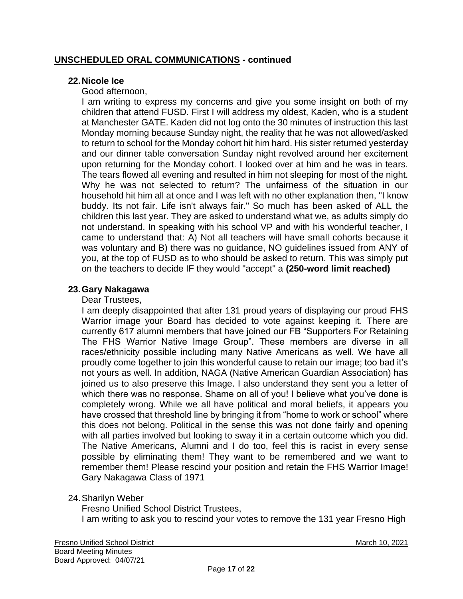### **22.Nicole Ice**

### Good afternoon,

I am writing to express my concerns and give you some insight on both of my children that attend FUSD. First I will address my oldest, Kaden, who is a student at Manchester GATE. Kaden did not log onto the 30 minutes of instruction this last Monday morning because Sunday night, the reality that he was not allowed/asked to return to school for the Monday cohort hit him hard. His sister returned yesterday and our dinner table conversation Sunday night revolved around her excitement upon returning for the Monday cohort. I looked over at him and he was in tears. The tears flowed all evening and resulted in him not sleeping for most of the night. Why he was not selected to return? The unfairness of the situation in our household hit him all at once and I was left with no other explanation then, "I know buddy. Its not fair. Life isn't always fair." So much has been asked of ALL the children this last year. They are asked to understand what we, as adults simply do not understand. In speaking with his school VP and with his wonderful teacher, I came to understand that: A) Not all teachers will have small cohorts because it was voluntary and B) there was no guidance, NO guidelines issued from ANY of you, at the top of FUSD as to who should be asked to return. This was simply put on the teachers to decide IF they would "accept" a **(250-word limit reached)**

### **23.Gary Nakagawa**

#### Dear Trustees,

I am deeply disappointed that after 131 proud years of displaying our proud FHS Warrior image your Board has decided to vote against keeping it. There are currently 617 alumni members that have joined our FB "Supporters For Retaining The FHS Warrior Native Image Group". These members are diverse in all races/ethnicity possible including many Native Americans as well. We have all proudly come together to join this wonderful cause to retain our image; too bad it's not yours as well. In addition, NAGA (Native American Guardian Association) has joined us to also preserve this Image. I also understand they sent you a letter of which there was no response. Shame on all of you! I believe what you've done is completely wrong. While we all have political and moral beliefs, it appears you have crossed that threshold line by bringing it from "home to work or school" where this does not belong. Political in the sense this was not done fairly and opening with all parties involved but looking to sway it in a certain outcome which you did. The Native Americans, Alumni and I do too, feel this is racist in every sense possible by eliminating them! They want to be remembered and we want to remember them! Please rescind your position and retain the FHS Warrior Image! Gary Nakagawa Class of 1971

24.Sharilyn Weber

Fresno Unified School District Trustees, I am writing to ask you to rescind your votes to remove the 131 year Fresno High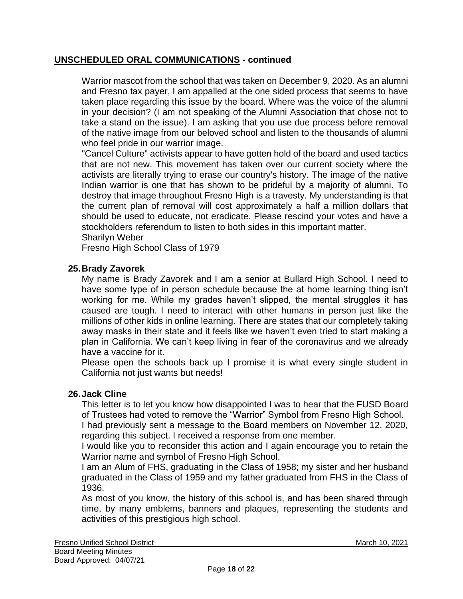Warrior mascot from the school that was taken on December 9, 2020. As an alumni and Fresno tax payer, I am appalled at the one sided process that seems to have taken place regarding this issue by the board. Where was the voice of the alumni in your decision? (I am not speaking of the Alumni Association that chose not to take a stand on the issue). I am asking that you use due process before removal of the native image from our beloved school and listen to the thousands of alumni who feel pride in our warrior image.

"Cancel Culture" activists appear to have gotten hold of the board and used tactics that are not new. This movement has taken over our current society where the activists are literally trying to erase our country's history. The image of the native Indian warrior is one that has shown to be prideful by a majority of alumni. To destroy that image throughout Fresno High is a travesty. My understanding is that the current plan of removal will cost approximately a half a million dollars that should be used to educate, not eradicate. Please rescind your votes and have a stockholders referendum to listen to both sides in this important matter. Sharilyn Weber

Fresno High School Class of 1979

# **25.Brady Zavorek**

My name is Brady Zavorek and I am a senior at Bullard High School. I need to have some type of in person schedule because the at home learning thing isn't working for me. While my grades haven't slipped, the mental struggles it has caused are tough. I need to interact with other humans in person just like the millions of other kids in online learning. There are states that our completely taking away masks in their state and it feels like we haven't even tried to start making a plan in California. We can't keep living in fear of the coronavirus and we already have a vaccine for it.

Please open the schools back up I promise it is what every single student in California not just wants but needs!

#### **26.Jack Cline**

This letter is to let you know how disappointed I was to hear that the FUSD Board of Trustees had voted to remove the "Warrior" Symbol from Fresno High School.

I had previously sent a message to the Board members on November 12, 2020, regarding this subject. I received a response from one member.

I would like you to reconsider this action and I again encourage you to retain the Warrior name and symbol of Fresno High School.

I am an Alum of FHS, graduating in the Class of 1958; my sister and her husband graduated in the Class of 1959 and my father graduated from FHS in the Class of 1936.

As most of you know, the history of this school is, and has been shared through time, by many emblems, banners and plaques, representing the students and activities of this prestigious high school.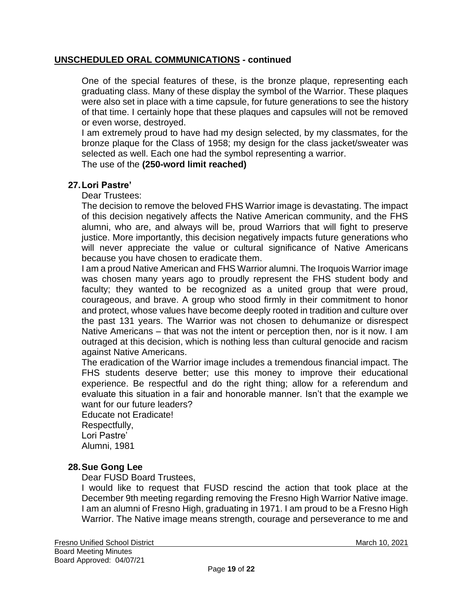One of the special features of these, is the bronze plaque, representing each graduating class. Many of these display the symbol of the Warrior. These plaques were also set in place with a time capsule, for future generations to see the history of that time. I certainly hope that these plaques and capsules will not be removed or even worse, destroyed.

I am extremely proud to have had my design selected, by my classmates, for the bronze plaque for the Class of 1958; my design for the class jacket/sweater was selected as well. Each one had the symbol representing a warrior.

The use of the **(250-word limit reached)**

#### **27.Lori Pastre'**

Dear Trustees:

The decision to remove the beloved FHS Warrior image is devastating. The impact of this decision negatively affects the Native American community, and the FHS alumni, who are, and always will be, proud Warriors that will fight to preserve justice. More importantly, this decision negatively impacts future generations who will never appreciate the value or cultural significance of Native Americans because you have chosen to eradicate them.

I am a proud Native American and FHS Warrior alumni. The Iroquois Warrior image was chosen many years ago to proudly represent the FHS student body and faculty; they wanted to be recognized as a united group that were proud, courageous, and brave. A group who stood firmly in their commitment to honor and protect, whose values have become deeply rooted in tradition and culture over the past 131 years. The Warrior was not chosen to dehumanize or disrespect Native Americans – that was not the intent or perception then, nor is it now. I am outraged at this decision, which is nothing less than cultural genocide and racism against Native Americans.

The eradication of the Warrior image includes a tremendous financial impact. The FHS students deserve better; use this money to improve their educational experience. Be respectful and do the right thing; allow for a referendum and evaluate this situation in a fair and honorable manner. Isn't that the example we want for our future leaders?

Educate not Eradicate! Respectfully, Lori Pastre' Alumni, 1981

#### **28.Sue Gong Lee**

Dear FUSD Board Trustees,

I would like to request that FUSD rescind the action that took place at the December 9th meeting regarding removing the Fresno High Warrior Native image. I am an alumni of Fresno High, graduating in 1971. I am proud to be a Fresno High Warrior. The Native image means strength, courage and perseverance to me and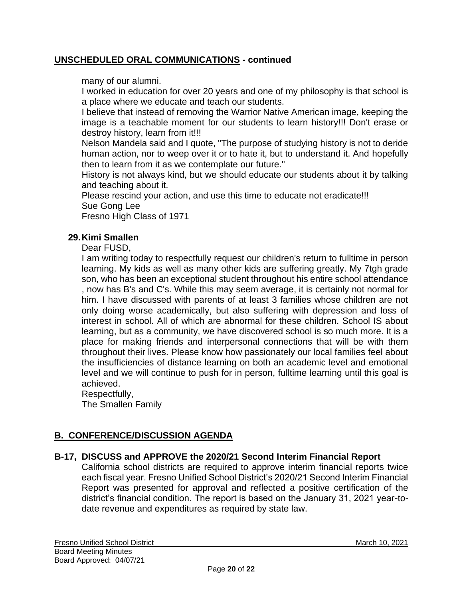many of our alumni.

I worked in education for over 20 years and one of my philosophy is that school is a place where we educate and teach our students.

I believe that instead of removing the Warrior Native American image, keeping the image is a teachable moment for our students to learn history!!! Don't erase or destroy history, learn from it!!!

Nelson Mandela said and I quote, "The purpose of studying history is not to deride human action, nor to weep over it or to hate it, but to understand it. And hopefully then to learn from it as we contemplate our future."

History is not always kind, but we should educate our students about it by talking and teaching about it.

Please rescind your action, and use this time to educate not eradicate!!! Sue Gong Lee

Fresno High Class of 1971

# **29.Kimi Smallen**

Dear FUSD,

I am writing today to respectfully request our children's return to fulltime in person learning. My kids as well as many other kids are suffering greatly. My 7tgh grade son, who has been an exceptional student throughout his entire school attendance , now has B's and C's. While this may seem average, it is certainly not normal for him. I have discussed with parents of at least 3 families whose children are not only doing worse academically, but also suffering with depression and loss of interest in school. All of which are abnormal for these children. School IS about learning, but as a community, we have discovered school is so much more. It is a place for making friends and interpersonal connections that will be with them throughout their lives. Please know how passionately our local families feel about the insufficiencies of distance learning on both an academic level and emotional level and we will continue to push for in person, fulltime learning until this goal is achieved.

Respectfully,

The Smallen Family

# **B. CONFERENCE/DISCUSSION AGENDA**

# **B-17, DISCUSS and APPROVE the 2020/21 Second Interim Financial Report**

California school districts are required to approve interim financial reports twice each fiscal year. Fresno Unified School District's 2020/21 Second Interim Financial Report was presented for approval and reflected a positive certification of the district's financial condition. The report is based on the January 31, 2021 year-todate revenue and expenditures as required by state law.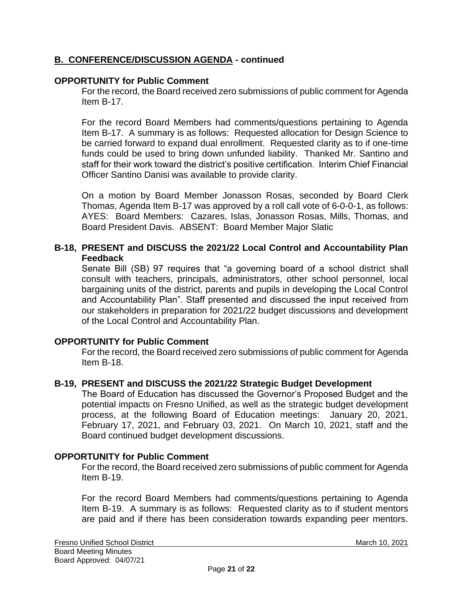# **B. CONFERENCE/DISCUSSION AGENDA - continued**

# **OPPORTUNITY for Public Comment**

For the record, the Board received zero submissions of public comment for Agenda Item B-17.

For the record Board Members had comments/questions pertaining to Agenda Item B-17. A summary is as follows: Requested allocation for Design Science to be carried forward to expand dual enrollment. Requested clarity as to if one-time funds could be used to bring down unfunded liability. Thanked Mr. Santino and staff for their work toward the district's positive certification. Interim Chief Financial Officer Santino Danisi was available to provide clarity.

On a motion by Board Member Jonasson Rosas, seconded by Board Clerk Thomas, Agenda Item B-17 was approved by a roll call vote of 6-0-0-1, as follows: AYES: Board Members: Cazares, Islas, Jonasson Rosas, Mills, Thomas, and Board President Davis. ABSENT: Board Member Major Slatic

### **B-18, PRESENT and DISCUSS the 2021/22 Local Control and Accountability Plan Feedback**

Senate Bill (SB) 97 requires that "a governing board of a school district shall consult with teachers, principals, administrators, other school personnel, local bargaining units of the district, parents and pupils in developing the Local Control and Accountability Plan". Staff presented and discussed the input received from our stakeholders in preparation for 2021/22 budget discussions and development of the Local Control and Accountability Plan.

# **OPPORTUNITY for Public Comment**

For the record, the Board received zero submissions of public comment for Agenda Item B-18.

#### **B-19, PRESENT and DISCUSS the 2021/22 Strategic Budget Development**

The Board of Education has discussed the Governor's Proposed Budget and the potential impacts on Fresno Unified, as well as the strategic budget development process, at the following Board of Education meetings: January 20, 2021, February 17, 2021, and February 03, 2021. On March 10, 2021, staff and the Board continued budget development discussions.

#### **OPPORTUNITY for Public Comment**

For the record, the Board received zero submissions of public comment for Agenda Item B-19.

For the record Board Members had comments/questions pertaining to Agenda Item B-19. A summary is as follows: Requested clarity as to if student mentors are paid and if there has been consideration towards expanding peer mentors.